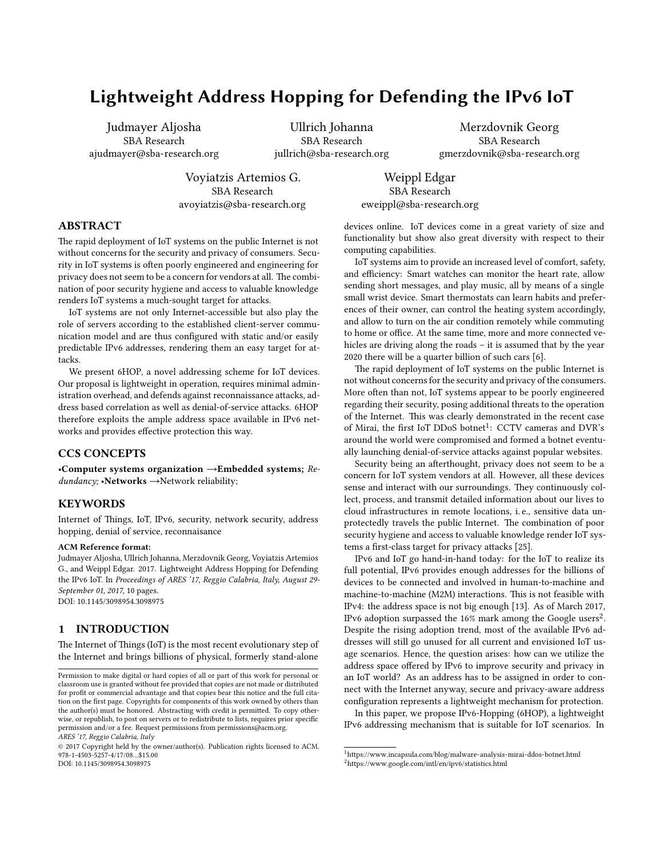# **Lightweight Address Hopping for Defending the IPv6 IoT**

Judmayer Aljosha SBA Research ajudmayer@sba-research.org

Ullrich Johanna SBA Research jullrich@sba-research.org

Merzdovnik Georg SBA Research gmerzdovnik@sba-research.org

Voyiatzis Artemios G. SBA Research avoyiatzis@sba-research.org

Weippl Edgar SBA Research eweippl@sba-research.org

# **ABSTRACT**

The rapid deployment of IoT systems on the public Internet is not without concerns for the security and privacy of consumers. Security in IoT systems is often poorly engineered and engineering for privacy does not seem to be a concern for vendors at all. The combination of poor security hygiene and access to valuable knowledge renders IoT systems a much-sought target for attacks.

IoT systems are not only Internet-accessible but also play the role of servers according to the established client-server communication model and are thus configured with static and/or easily predictable IPv6 addresses, rendering them an easy target for attacks.

We present 6HOP, a novel addressing scheme for IoT devices. Our proposal is lightweight in operation, requires minimal administration overhead, and defends against reconnaissance attacks, address based correlation as well as denial-of-service attacks. 6HOP therefore exploits the ample address space available in IPv6 networks and provides effective protection this way.

#### **CCS CONCEPTS**

•**Computer systems organization** →**Embedded systems;** *Redundancy;* •**Networks** →Network reliability;

## **KEYWORDS**

Internet of Things, IoT, IPv6, security, network security, address hopping, denial of service, reconnaisance

#### **ACM Reference format:**

Judmayer Aljosha, Ullrich Johanna, Merzdovnik Georg, Voyiatzis Artemios G., and Weippl Edgar. 2017. Lightweight Address Hopping for Defending the IPv6 IoT. In *Proceedings of ARES '17, Reggio Calabria, Italy, August 29- September 01, 2017,* [10](#page-9-0) pages. DOI: 10.1145/3098954.3098975

#### **1 INTRODUCTION**

The Internet of Things (IoT) is the most recent evolutionary step of the Internet and brings billions of physical, formerly stand-alone

devices online. IoT devices come in a great variety of size and functionality but show also great diversity with respect to their computing capabilities.

IoT systems aim to provide an increased level of comfort, safety, and efficiency: Smart watches can monitor the heart rate, allow sending short messages, and play music, all by means of a single small wrist device. Smart thermostats can learn habits and preferences of their owner, can control the heating system accordingly, and allow to turn on the air condition remotely while commuting to home or office. At the same time, more and more connected vehicles are driving along the roads – it is assumed that by the year 2020 there will be a quarter billion of such cars[[6](#page-8-0)].

The rapid deployment of IoT systems on the public Internet is not without concerns for the security and privacy of the consumers. More often than not, IoT systems appear to be poorly engineered regarding their security, posing additional threats to the operation of the Internet. This was clearly demonstrated in the recent case of Mirai, the first IoT DDoS botnet<sup>[1](#page-0-0)</sup>: CCTV cameras and DVR's around the world were compromised and formed a botnet eventually launching denial-of-service attacks against popular websites.

Security being an afterthought, privacy does not seem to be a concern for IoT system vendors at all. However, all these devices sense and interact with our surroundings. They continuously collect, process, and transmit detailed information about our lives to cloud infrastructures in remote locations, i. e., sensitive data unprotectedly travels the public Internet. The combination of poor security hygiene and access to valuable knowledge render IoT systems a first-class target for privacy attacks[[25\]](#page-9-1).

IPv6 and IoT go hand-in-hand today: for the IoT to realize its full potential, IPv6 provides enough addresses for the billions of devices to be connected and involved in human-to-machine and machine-to-machine (M2M) interactions. This is not feasible with IPv4: the address space is not big enough[[13](#page-8-1)]. As of March 2017, IPv6 adoption surpassed the 16% mark among the Google users<sup>[2](#page-0-1)</sup>. Despite the rising adoption trend, most of the available IPv6 addresses will still go unused for all current and envisioned IoT usage scenarios. Hence, the question arises: how can we utilize the address space offered by IPv6 to improve security and privacy in an IoT world? As an address has to be assigned in order to connect with the Internet anyway, secure and privacy-aware address configuration represents a lightweight mechanism for protection.

In this paper, we propose IPv6-Hopping (6HOP), a lightweight IPv6 addressing mechanism that is suitable for IoT scenarios. In

Permission to make digital or hard copies of all or part of this work for personal or classroom use is granted without fee provided that copies are not made or distributed for profit or commercial advantage and that copies bear this notice and the full citation on the first page. Copyrights for components of this work owned by others than the author(s) must be honored. Abstracting with credit is permitted. To copy otherwise, or republish, to post on servers or to redistribute to lists, requires prior specific permission and/or a fee. Request permissions from permissions@acm.org. *ARES '17, Reggio Calabria, Italy*

<sup>© 2017</sup> Copyright held by the owner/author(s). Publication rights licensed to ACM. 978-1-4503-5257-4/17/08…\$15.00 DOI: 10.1145/3098954.3098975

<span id="page-0-1"></span><span id="page-0-0"></span><sup>&</sup>lt;sup>1</sup><https://www.incapsula.com/blog/malware-analysis-mirai-ddos-botnet.html> <sup>2</sup><https://www.google.com/intl/en/ipv6/statistics.html>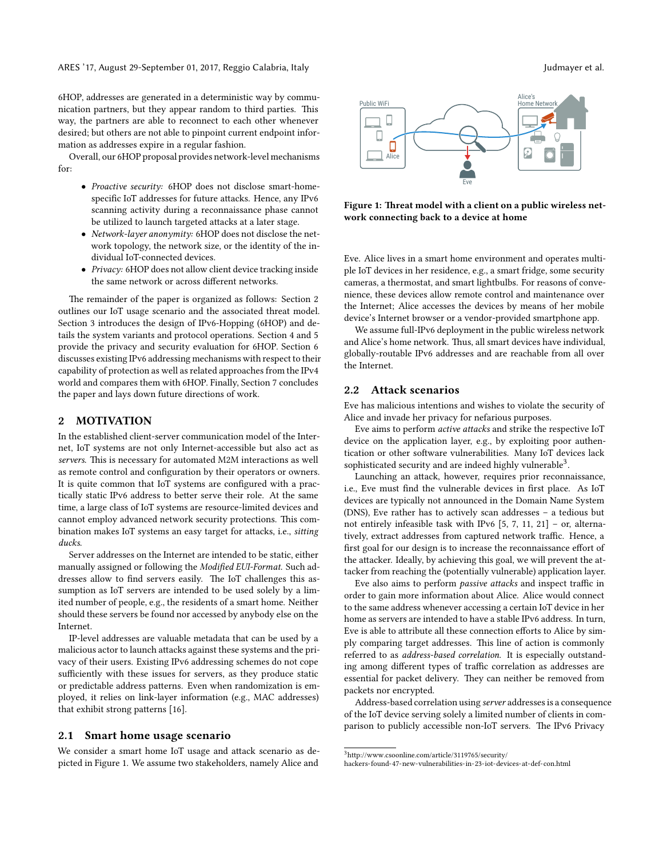6HOP, addresses are generated in a deterministic way by communication partners, but they appear random to third parties. This way, the partners are able to reconnect to each other whenever desired; but others are not able to pinpoint current endpoint information as addresses expire in a regular fashion.

Overall, our 6HOP proposal provides network-level mechanisms for:

- *Proactive security:* 6HOP does not disclose smart-homespecific IoT addresses for future attacks. Hence, any IPv6 scanning activity during a reconnaissance phase cannot be utilized to launch targeted attacks at a later stage.
- *Network-layer anonymity:* 6HOP does not disclose the network topology, the network size, or the identity of the individual IoT-connected devices.
- *Privacy:* 6HOP does not allow client device tracking inside the same network or across different networks.

The remainder of the paper is organized as follows: Section [2](#page-1-0) outlines our IoT usage scenario and the associated threat model. Section [3](#page-2-0) introduces the design of IPv6-Hopping (6HOP) and details the system variants and protocol operations. Section [4](#page-3-0) and [5](#page-5-0) provide the privacy and security evaluation for 6HOP. Section [6](#page-6-0) discusses existing IPv6 addressing mechanisms with respect to their capability of protection as well as related approaches from the IPv4 world and compares them with 6HOP. Finally, Section [7](#page-8-2) concludes the paper and lays down future directions of work.

# <span id="page-1-0"></span>**2 MOTIVATION**

In the established client-server communication model of the Internet, IoT systems are not only Internet-accessible but also act as *servers*. This is necessary for automated M2M interactions as well as remote control and configuration by their operators or owners. It is quite common that IoT systems are configured with a practically static IPv6 address to better serve their role. At the same time, a large class of IoT systems are resource-limited devices and cannot employ advanced network security protections. This combination makes IoT systems an easy target for attacks, i.e., *sitting ducks*.

Server addresses on the Internet are intended to be static, either manually assigned or following the *Modified EUI-Format*. Such addresses allow to find servers easily. The IoT challenges this assumption as IoT servers are intended to be used solely by a limited number of people, e.g., the residents of a smart home. Neither should these servers be found nor accessed by anybody else on the Internet.

IP-level addresses are valuable metadata that can be used by a malicious actor to launch attacks against these systems and the privacy of their users. Existing IPv6 addressing schemes do not cope sufficiently with these issues for servers, as they produce static or predictable address patterns. Even when randomization is employed, it relies on link-layer information (e.g., MAC addresses) that exhibit strong patterns [\[16\]](#page-9-2).

# **2.1 Smart home usage scenario**

We consider a smart home IoT usage and attack scenario as depicted in Figure [1.](#page-1-1) We assume two stakeholders, namely Alice and

<span id="page-1-1"></span>

**Figure 1: Threat model with a client on a public wireless network connecting back to a device at home**

Eve. Alice lives in a smart home environment and operates multiple IoT devices in her residence, e.g., a smart fridge, some security cameras, a thermostat, and smart lightbulbs. For reasons of convenience, these devices allow remote control and maintenance over the Internet; Alice accesses the devices by means of her mobile device's Internet browser or a vendor-provided smartphone app.

We assume full-IPv6 deployment in the public wireless network and Alice's home network. Thus, all smart devices have individual, globally-routable IPv6 addresses and are reachable from all over the Internet.

## **2.2 Attack scenarios**

Eve has malicious intentions and wishes to violate the security of Alice and invade her privacy for nefarious purposes.

Eve aims to perform *active attacks* and strike the respective IoT device on the application layer, e.g., by exploiting poor authentication or other software vulnerabilities. Many IoT devices lack sophisticated security and are indeed highly vulnerable $3$ .

Launching an attack, however, requires prior reconnaissance, i.e., Eve must find the vulnerable devices in first place. As IoT devices are typically not announced in the Domain Name System (DNS), Eve rather has to actively scan addresses – a tedious but not entirely infeasible task with IPv6[[5,](#page-8-3) [7](#page-8-4), [11](#page-8-5), [21\]](#page-9-3) – or, alternatively, extract addresses from captured network traffic. Hence, a first goal for our design is to increase the reconnaissance effort of the attacker. Ideally, by achieving this goal, we will prevent the attacker from reaching the (potentially vulnerable) application layer.

Eve also aims to perform *passive attacks* and inspect traffic in order to gain more information about Alice. Alice would connect to the same address whenever accessing a certain IoT device in her home as servers are intended to have a stable IPv6 address. In turn, Eve is able to attribute all these connection efforts to Alice by simply comparing target addresses. This line of action is commonly referred to as *address-based correlation*. It is especially outstanding among different types of traffic correlation as addresses are essential for packet delivery. They can neither be removed from packets nor encrypted.

Address-based correlation using *server* addresses is a consequence of the IoT device serving solely a limited number of clients in comparison to publicly accessible non-IoT servers. The IPv6 Privacy

<span id="page-1-2"></span><sup>3</sup>[http://www.csoonline.com/article/3119765/security/](http://www.csoonline.com/article/3119765/security/hackers-found-47-new-vulnerabilities-in-23-iot-devices-at-def-con.html)

[hackers-found-47-new-vulnerabilities-in-23-iot-devices-at-def-con.html](http://www.csoonline.com/article/3119765/security/hackers-found-47-new-vulnerabilities-in-23-iot-devices-at-def-con.html)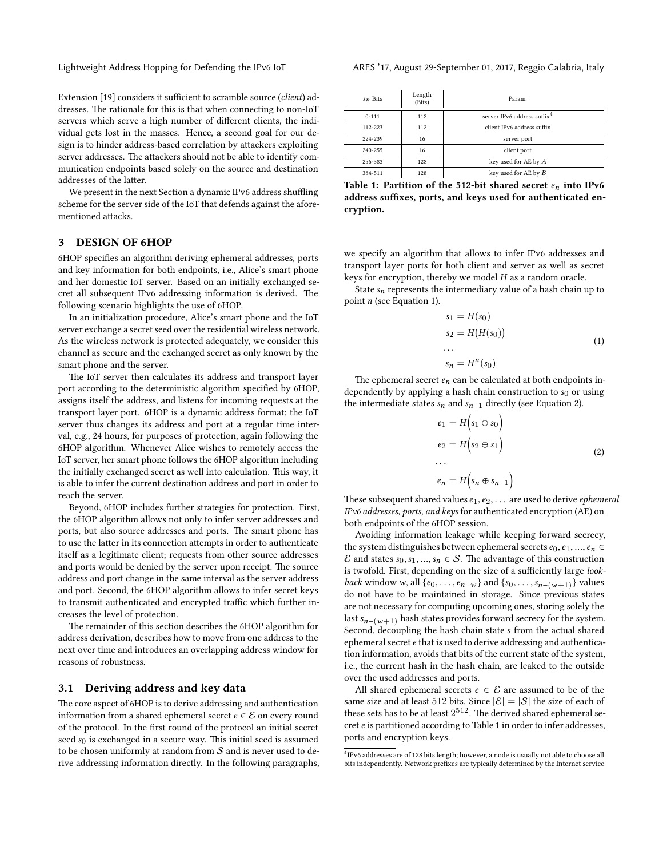Extension [\[19\]](#page-9-4) considers it sufficient to scramble source (*client*) addresses. The rationale for this is that when connecting to non-IoT servers which serve a high number of different clients, the individual gets lost in the masses. Hence, a second goal for our design is to hinder address-based correlation by attackers exploiting server addresses. The attackers should not be able to identify communication endpoints based solely on the source and destination addresses of the latter.

We present in the next Section a dynamic IPv6 address shuffling scheme for the server side of the IoT that defends against the aforementioned attacks.

# <span id="page-2-0"></span>**3 DESIGN OF 6HOP**

6HOP specifies an algorithm deriving ephemeral addresses, ports and key information for both endpoints, i.e., Alice's smart phone and her domestic IoT server. Based on an initially exchanged secret all subsequent IPv6 addressing information is derived. The following scenario highlights the use of 6HOP.

In an initialization procedure, Alice's smart phone and the IoT server exchange a secret seed over the residential wireless network. As the wireless network is protected adequately, we consider this channel as secure and the exchanged secret as only known by the smart phone and the server.

The IoT server then calculates its address and transport layer port according to the deterministic algorithm specified by 6HOP, assigns itself the address, and listens for incoming requests at the transport layer port. 6HOP is a dynamic address format; the IoT server thus changes its address and port at a regular time interval, e.g., 24 hours, for purposes of protection, again following the 6HOP algorithm. Whenever Alice wishes to remotely access the IoT server, her smart phone follows the 6HOP algorithm including the initially exchanged secret as well into calculation. This way, it is able to infer the current destination address and port in order to reach the server.

Beyond, 6HOP includes further strategies for protection. First, the 6HOP algorithm allows not only to infer server addresses and ports, but also source addresses and ports. The smart phone has to use the latter in its connection attempts in order to authenticate itself as a legitimate client; requests from other source addresses and ports would be denied by the server upon receipt. The source address and port change in the same interval as the server address and port. Second, the 6HOP algorithm allows to infer secret keys to transmit authenticated and encrypted traffic which further increases the level of protection.

The remainder of this section describes the 6HOP algorithm for address derivation, describes how to move from one address to the next over time and introduces an overlapping address window for reasons of robustness.

#### **3.1 Deriving address and key data**

The core aspect of 6HOP is to derive addressing and authentication information from a shared ephemeral secret  $e \in \mathcal{E}$  on every round of the protocol. In the first round of the protocol an initial secret seed *s*0 is exchanged in a secure way. This initial seed is assumed to be chosen uniformly at random from  $S$  and is never used to derive addressing information directly. In the following paragraphs,

<span id="page-2-4"></span>

| $s_n$ Bits | Length<br>(Bits) | Param.                                  |  |  |  |
|------------|------------------|-----------------------------------------|--|--|--|
| $0 - 111$  | 112              | server IPv6 address suffix <sup>4</sup> |  |  |  |
| 112-223    | 112              | client IPv6 address suffix              |  |  |  |
| 224-239    | 16               | server port                             |  |  |  |
| 240-255    | 16               | client port                             |  |  |  |
| 256-383    | 128              | key used for AE by A                    |  |  |  |
| 384-511    | 128              | key used for AE by B                    |  |  |  |

**Table 1: Partition of the 512-bit shared secret** *en* **into IPv6 address suffixes, ports, and keys used for authenticated encryption.**

we specify an algorithm that allows to infer IPv6 addresses and transport layer ports for both client and server as well as secret keys for encryption, thereby we model *H* as a random oracle.

State *sn* represents the intermediary value of a hash chain up to point *n* (see Equation [1](#page-2-2)).

$$
s_1 = H(s_0)
$$
  
\n
$$
s_2 = H(H(s_0))
$$
  
\n...  
\n
$$
s_n = H^{n}(s_0)
$$
 (1)

<span id="page-2-2"></span>The ephemeral secret  $e_n$  can be calculated at both endpoints independently by applying a hash chain construction to  $s_0$  or using the intermediate states  $s_n$  and  $s_{n-1}$  directly (see Equation [2\)](#page-2-3).

$$
e_1 = H(s_1 \oplus s_0)
$$
  
\n
$$
e_2 = H(s_2 \oplus s_1)
$$
  
\n...  
\n
$$
e_n = H(s_n \oplus s_{n-1})
$$
  
\n(2)

<span id="page-2-3"></span>These subsequent shared values *e*1, *e*2, . . . are used to derive *ephemeral IPv6 addresses, ports, and keys* for authenticated encryption (AE) on both endpoints of the 6HOP session.

Avoiding information leakage while keeping forward secrecy, the system distinguishes between ephemeral secrets  $e_0, e_1, ..., e_n \in$ E and states  $s_0, s_1, ..., s_n \in S$ . The advantage of this construction is twofold. First, depending on the size of a sufficiently large *lookback* window *w*, all  $\{e_0, ..., e_{n-w}\}$  and  $\{s_0, ..., s_{n-(w+1)}\}$  values do not have to be maintained in storage. Since previous states are not necessary for computing upcoming ones, storing solely the last  $s_{n-(w+1)}$  hash states provides forward secrecy for the system. Second, decoupling the hash chain state *s* from the actual shared ephemeral secret *e* that is used to derive addressing and authentication information, avoids that bits of the current state of the system, i.e., the current hash in the hash chain, are leaked to the outside over the used addresses and ports.

All shared ephemeral secrets  $e \in \mathcal{E}$  are assumed to be of the same size and at least 512 bits. Since  $|\mathcal{E}| = |\mathcal{S}|$  the size of each of these sets has to be at least  $2^{512}$ . The derived shared ephemeral secret *e* is partitioned according to Table [1](#page-2-4) in order to infer addresses, ports and encryption keys.

<span id="page-2-1"></span><sup>4</sup> IPv6 addresses are of 128 bits length; however, a node is usually not able to choose all bits independently. Network prefixes are typically determined by the Internet service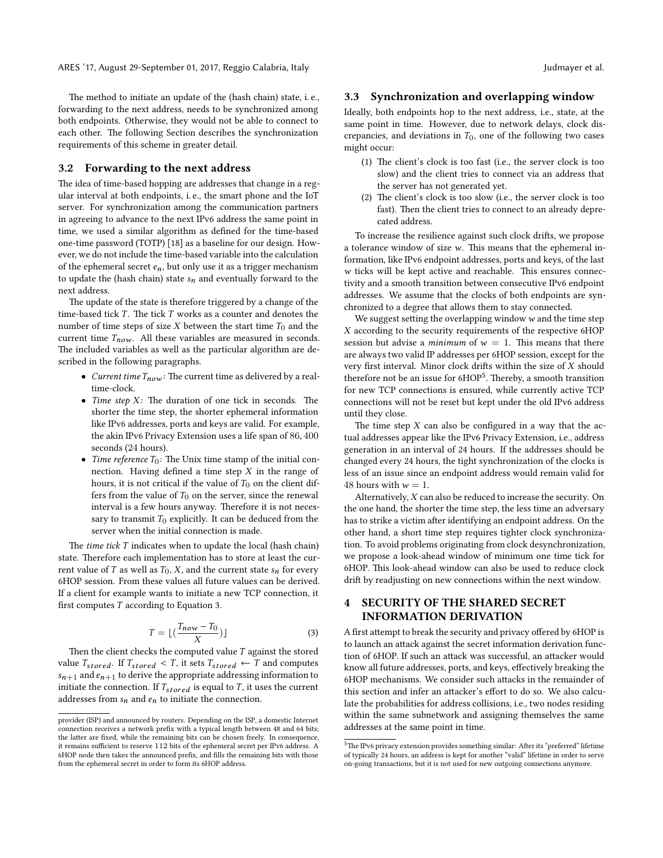The method to initiate an update of the (hash chain) state, i. e., forwarding to the next address, needs to be synchronized among both endpoints. Otherwise, they would not be able to connect to each other. The following Section describes the synchronization requirements of this scheme in greater detail.

## **3.2 Forwarding to the next address**

The idea of time-based hopping are addresses that change in a regular interval at both endpoints, i. e., the smart phone and the IoT server. For synchronization among the communication partners in agreeing to advance to the next IPv6 address the same point in time, we used a similar algorithm as defined for the time-based one-time password (TOTP)[[18](#page-9-5)] as a baseline for our design. However, we do not include the time-based variable into the calculation of the ephemeral secret  $e_n$ , but only use it as a trigger mechanism to update the (hash chain) state  $s_n$  and eventually forward to the next address.

The update of the state is therefore triggered by a change of the time-based tick *T* . The tick *T* works as a counter and denotes the number of time steps of size *X* between the start time  $T_0$  and the current time  $T_{now}$ . All these variables are measured in seconds. The included variables as well as the particular algorithm are described in the following paragraphs.

- *Current time*  $T_{now}$ : The current time as delivered by a realtime-clock.
- *Time step X:* The duration of one tick in seconds. The shorter the time step, the shorter ephemeral information like IPv6 addresses, ports and keys are valid. For example, the akin IPv6 Privacy Extension uses a life span of 86, 400 seconds (24 hours).
- *Time reference*  $T_0$ : The Unix time stamp of the initial connection. Having defined a time step *X* in the range of hours, it is not critical if the value of  $T_0$  on the client differs from the value of  $T_0$  on the server, since the renewal interval is a few hours anyway. Therefore it is not necessary to transmit  $T_0$  explicitly. It can be deduced from the server when the initial connection is made.

The *time tick T* indicates when to update the local (hash chain) state. Therefore each implementation has to store at least the current value of *T* as well as  $T_0$ , *X*, and the current state  $s_n$  for every 6HOP session. From these values all future values can be derived. If a client for example wants to initiate a new TCP connection, it first computes *T* according to Equation [3.](#page-3-1)

<span id="page-3-1"></span>
$$
T = \lfloor \left( \frac{T_{now} - T_0}{X} \right) \rfloor \tag{3}
$$

Then the client checks the computed value *T* against the stored value  $T_{stored}$ . If  $T_{stored} < T$ , it sets  $T_{stored} \leftarrow T$  and computes  $s_{n+1}$  and  $e_{n+1}$  to derive the appropriate addressing information to initiate the connection. If  $T_{stored}$  is equal to  $T$ , it uses the current addresses from  $s_n$  and  $e_n$  to initiate the connection.

#### <span id="page-3-3"></span>**3.3 Synchronization and overlapping window**

Ideally, both endpoints hop to the next address, i.e., state, at the same point in time. However, due to network delays, clock discrepancies, and deviations in  $T_0$ , one of the following two cases might occur:

- (1) The client's clock is too fast (i.e., the server clock is too slow) and the client tries to connect via an address that the server has not generated yet.
- (2) The client's clock is too slow (i.e., the server clock is too fast). Then the client tries to connect to an already deprecated address.

To increase the resilience against such clock drifts, we propose a tolerance window of size *w*. This means that the ephemeral information, like IPv6 endpoint addresses, ports and keys, of the last *w* ticks will be kept active and reachable. This ensures connectivity and a smooth transition between consecutive IPv6 endpoint addresses. We assume that the clocks of both endpoints are synchronized to a degree that allows them to stay connected.

We suggest setting the overlapping window *w* and the time step *X* according to the security requirements of the respective 6HOP session but advise a *minimum* of  $w = 1$ . This means that there are always two valid IP addresses per 6HOP session, except for the very first interval. Minor clock drifts within the size of *X* should therefore not be an issue for 6HOP<sup>[5](#page-3-2)</sup>. Thereby, a smooth transition for new TCP connections is ensured, while currently active TCP connections will not be reset but kept under the old IPv6 address until they close.

The time step *X* can also be configured in a way that the actual addresses appear like the IPv6 Privacy Extension, i.e., address generation in an interval of 24 hours. If the addresses should be changed every 24 hours, the tight synchronization of the clocks is less of an issue since an endpoint address would remain valid for 48 hours with  $w = 1$ .

Alternatively, *X* can also be reduced to increase the security. On the one hand, the shorter the time step, the less time an adversary has to strike a victim after identifying an endpoint address. On the other hand, a short time step requires tighter clock synchronization. To avoid problems originating from clock desynchronization, we propose a look-ahead window of minimum one time tick for 6HOP. This look-ahead window can also be used to reduce clock drift by readjusting on new connections within the next window.

# <span id="page-3-0"></span>**4 SECURITY OF THE SHARED SECRET INFORMATION DERIVATION**

A first attempt to break the security and privacy offered by 6HOP is to launch an attack against the secret information derivation function of 6HOP. If such an attack was successful, an attacker would know all future addresses, ports, and keys, effectively breaking the 6HOP mechanisms. We consider such attacks in the remainder of this section and infer an attacker's effort to do so. We also calculate the probabilities for address collisions, i.e., two nodes residing within the same subnetwork and assigning themselves the same addresses at the same point in time.

provider (ISP) and announced by routers. Depending on the ISP, a domestic Internet connection receives a network prefix with a typical length between 48 and 64 bits; the latter are fixed, while the remaining bits can be chosen freely. In consequence, it remains sufficient to reserve 112 bits of the ephemeral secret per IPv6 address. A 6HOP node then takes the announced prefix, and fills the remaining bits with those from the ephemeral secret in order to form its 6HOP address.

<span id="page-3-2"></span> $^5$  The IPv6 privacy extension provides something similar: After its "preferred" lifetime of typically 24 hours, an address is kept for another "valid" lifetime in order to serve on-going transactions, but it is not used for new outgoing connections anymore.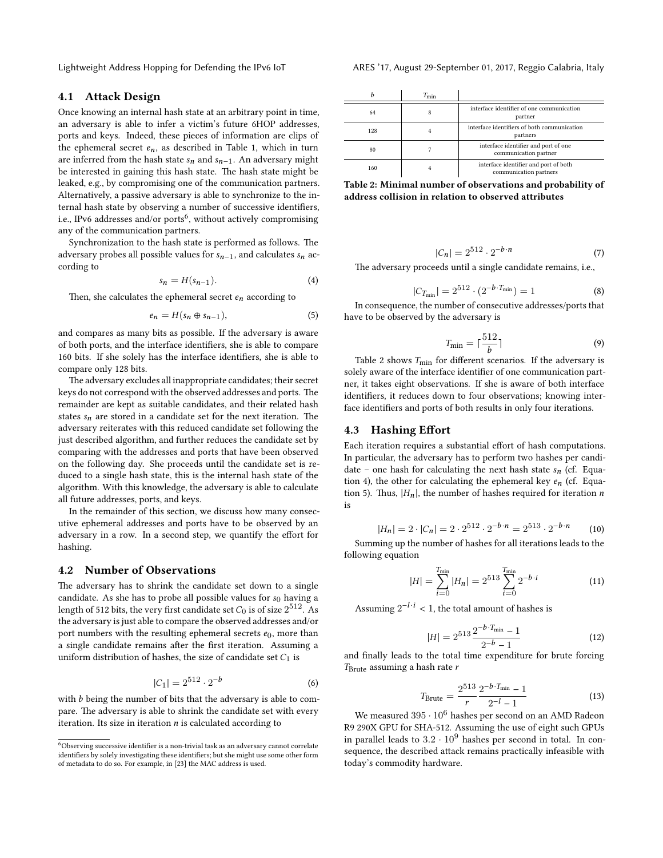# **4.1 Attack Design**

Once knowing an internal hash state at an arbitrary point in time, an adversary is able to infer a victim's future 6HOP addresses, ports and keys. Indeed, these pieces of information are clips of the ephemeral secret  $e_n$ , as described in Table [1](#page-2-4), which in turn are inferred from the hash state  $s_n$  and  $s_{n-1}$ . An adversary might be interested in gaining this hash state. The hash state might be leaked, e.g., by compromising one of the communication partners. Alternatively, a passive adversary is able to synchronize to the internal hash state by observing a number of successive identifiers, i.e., IPv[6](#page-4-0) addresses and/or ports<sup>6</sup>, without actively compromising any of the communication partners.

Synchronization to the hash state is performed as follows. The adversary probes all possible values for  $s_{n-1}$ , and calculates  $s_n$  according to

<span id="page-4-2"></span>
$$
s_n = H(s_{n-1}).\tag{4}
$$

Then, she calculates the ephemeral secret  $e_n$  according to

<span id="page-4-3"></span>
$$
e_n = H(s_n \oplus s_{n-1}), \tag{5}
$$

and compares as many bits as possible. If the adversary is aware of both ports, and the interface identifiers, she is able to compare 160 bits. If she solely has the interface identifiers, she is able to compare only 128 bits.

The adversary excludes all inappropriate candidates; their secret keys do not correspond with the observed addresses and ports. The remainder are kept as suitable candidates, and their related hash states  $s_n$  are stored in a candidate set for the next iteration. The adversary reiterates with this reduced candidate set following the just described algorithm, and further reduces the candidate set by comparing with the addresses and ports that have been observed on the following day. She proceeds until the candidate set is reduced to a single hash state, this is the internal hash state of the algorithm. With this knowledge, the adversary is able to calculate all future addresses, ports, and keys.

In the remainder of this section, we discuss how many consecutive ephemeral addresses and ports have to be observed by an adversary in a row. In a second step, we quantify the effort for hashing.

# **4.2 Number of Observations**

The adversary has to shrink the candidate set down to a single candidate. As she has to probe all possible values for *s*0 having a length of 512 bits, the very first candidate set  $C_0$  is of size  $2^{512}$ . As the adversary is just able to compare the observed addresses and/or port numbers with the resulting ephemeral secrets  $e_0$ , more than a single candidate remains after the first iteration. Assuming a uniform distribution of hashes, the size of candidate set  $C_1$  is

$$
|C_1| = 2^{512} \cdot 2^{-b} \tag{6}
$$

with *b* being the number of bits that the adversary is able to compare. The adversary is able to shrink the candidate set with every iteration. Its size in iteration *n* is calculated according to

Lightweight Address Hopping for Defending the IPv6 IoT ARES '17, August 29-September 01, 2017, Reggio Calabria, Italy

<span id="page-4-1"></span>

|     | $T_{\min}$ |                                                                 |  |  |
|-----|------------|-----------------------------------------------------------------|--|--|
| 64  | 8          | interface identifier of one communication<br>partner            |  |  |
| 128 | 4          | interface identifiers of both communication<br>partners         |  |  |
| 80  |            | interface identifier and port of one<br>communication partner   |  |  |
| 160 |            | interface identifier and port of both<br>communication partners |  |  |

**Table 2: Minimal number of observations and probability of address collision in relation to observed attributes**

$$
|C_n| = 2^{512} \cdot 2^{-b \cdot n} \tag{7}
$$

The adversary proceeds until a single candidate remains, i.e.,

$$
|C_{T_{\min}}| = 2^{512} \cdot (2^{-b \cdot T_{\min}}) = 1 \tag{8}
$$

In consequence, the number of consecutive addresses/ports that have to be observed by the adversary is

$$
T_{\min} = \lceil \frac{512}{b} \rceil \tag{9}
$$

Table [2](#page-4-1) shows  $T_{\text{min}}$  for different scenarios. If the adversary is solely aware of the interface identifier of one communication partner, it takes eight observations. If she is aware of both interface identifiers, it reduces down to four observations; knowing interface identifiers and ports of both results in only four iterations.

#### **4.3 Hashing Effort**

Each iteration requires a substantial effort of hash computations. In particular, the adversary has to perform two hashes per candidate – one hash for calculating the next hash state  $s_n$  (cf. Equa-tion [4\)](#page-4-2), the other for calculating the ephemeral key  $e_n$  (cf. Equa-tion [5](#page-4-3)). Thus,  $|H_n|$ , the number of hashes required for iteration *n* is

$$
|H_n| = 2 \cdot |C_n| = 2 \cdot 2^{512} \cdot 2^{-b \cdot n} = 2^{513} \cdot 2^{-b \cdot n} \tag{10}
$$

Summing up the number of hashes for all iterations leads to the following equation

$$
|H| = \sum_{i=0}^{T_{\min}} |H_n| = 2^{513} \sum_{i=0}^{T_{\min}} 2^{-b \cdot i} \tag{11}
$$

Assuming  $2^{-l \cdot i} < 1$ , the total amount of hashes is

$$
|H| = 2^{513} \frac{2^{-b \cdot T_{\min}} - 1}{2^{-b} - 1}
$$
 (12)

and finally leads to the total time expenditure for brute forcing *T*Brute assuming a hash rate *r*

$$
T_{\text{Brute}} = \frac{2^{513}}{r} \frac{2^{-b \cdot T_{\text{min}}} - 1}{2^{-l} - 1} \tag{13}
$$

We measured  $395 \cdot 10^6$  hashes per second on an AMD Radeon R9 290X GPU for SHA-512. Assuming the use of eight such GPUs in parallel leads to  $3.2 \cdot 10^9$  hashes per second in total. In consequence, the described attack remains practically infeasible with today's commodity hardware.

<span id="page-4-0"></span><sup>6</sup>Observing successive identifier is a non-trivial task as an adversary cannot correlate identifiers by solely investigating these identifiers; but she might use some other form of metadata to do so. For example, in [\[23\]](#page-9-6) the MAC address is used.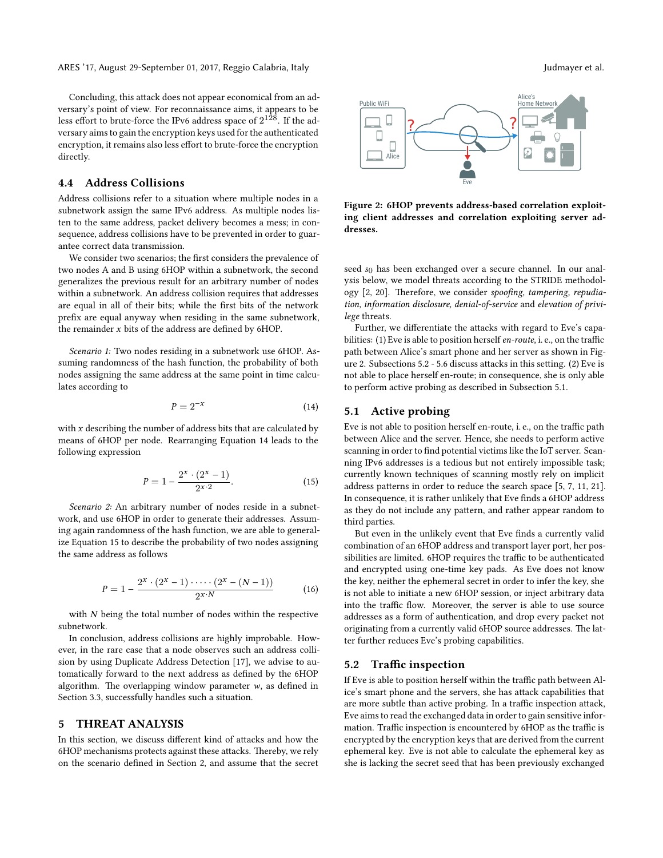Concluding, this attack does not appear economical from an adversary's point of view. For reconnaissance aims, it appears to be less effort to brute-force the IPv6 address space of  $2^{128}$ . If the adversary aims to gain the encryption keys used for the authenticated encryption, it remains also less effort to brute-force the encryption directly.

## **4.4 Address Collisions**

Address collisions refer to a situation where multiple nodes in a subnetwork assign the same IPv6 address. As multiple nodes listen to the same address, packet delivery becomes a mess; in consequence, address collisions have to be prevented in order to guarantee correct data transmission.

We consider two scenarios; the first considers the prevalence of two nodes A and B using 6HOP within a subnetwork, the second generalizes the previous result for an arbitrary number of nodes within a subnetwork. An address collision requires that addresses are equal in all of their bits; while the first bits of the network prefix are equal anyway when residing in the same subnetwork, the remainder *x* bits of the address are defined by 6HOP.

*Scenario 1:* Two nodes residing in a subnetwork use 6HOP. Assuming randomness of the hash function, the probability of both nodes assigning the same address at the same point in time calculates according to

<span id="page-5-1"></span>
$$
P = 2^{-x} \tag{14}
$$

with *x* describing the number of address bits that are calculated by means of 6HOP per node. Rearranging Equation [14](#page-5-1) leads to the following expression

<span id="page-5-2"></span>
$$
P = 1 - \frac{2^x \cdot (2^x - 1)}{2^{x \cdot 2}}.
$$
\n(15)

*Scenario 2:* An arbitrary number of nodes reside in a subnetwork, and use 6HOP in order to generate their addresses. Assuming again randomness of the hash function, we are able to generalize Equation [15](#page-5-2) to describe the probability of two nodes assigning the same address as follows

$$
P = 1 - \frac{2^{x} \cdot (2^{x} - 1) \cdot \cdots \cdot (2^{x} - (N - 1))}{2^{x \cdot N}}
$$
(16)

with *N* being the total number of nodes within the respective subnetwork.

In conclusion, address collisions are highly improbable. However, in the rare case that a node observes such an address collision by using Duplicate Address Detection [\[17](#page-9-7)], we advise to automatically forward to the next address as defined by the 6HOP algorithm. The overlapping window parameter *w*, as defined in Section [3.3](#page-3-3), successfully handles such a situation.

# <span id="page-5-0"></span>**5 THREAT ANALYSIS**

In this section, we discuss different kind of attacks and how the 6HOP mechanisms protects against these attacks. Thereby, we rely on the scenario defined in Section [2,](#page-1-0) and assume that the secret

<span id="page-5-3"></span>

**Figure 2: 6HOP prevents address-based correlation exploiting client addresses and correlation exploiting server addresses.**

seed *s*<sub>0</sub> has been exchanged over a secure channel. In our analysis below, we model threats according to the STRIDE methodology[[2,](#page-8-6) [20](#page-9-8)]. Therefore, we consider *spoofing, tampering, repudiation, information disclosure, denial-of-service* and *elevation of privilege* threats.

Further, we differentiate the attacks with regard to Eve's capabilities: (1) Eve is able to position herself *en-route*, i. e., on the traffic path between Alice's smart phone and her server as shown in Figure [2](#page-5-3). Subsections [5.2](#page-5-4) - [5.6](#page-6-1) discuss attacks in this setting. (2) Eve is not able to place herself en-route; in consequence, she is only able to perform active probing as described in Subsection [5.1.](#page-5-5)

# <span id="page-5-5"></span>**5.1 Active probing**

Eve is not able to position herself en-route, i. e., on the traffic path between Alice and the server. Hence, she needs to perform active scanning in order to find potential victims like the IoT server. Scanning IPv6 addresses is a tedious but not entirely impossible task; currently known techniques of scanning mostly rely on implicit address patterns in order to reduce the search space[[5,](#page-8-3) [7,](#page-8-4) [11,](#page-8-5) [21](#page-9-3)]. In consequence, it is rather unlikely that Eve finds a 6HOP address as they do not include any pattern, and rather appear random to third parties.

But even in the unlikely event that Eve finds a currently valid combination of an 6HOP address and transport layer port, her possibilities are limited. 6HOP requires the traffic to be authenticated and encrypted using one-time key pads. As Eve does not know the key, neither the ephemeral secret in order to infer the key, she is not able to initiate a new 6HOP session, or inject arbitrary data into the traffic flow. Moreover, the server is able to use source addresses as a form of authentication, and drop every packet not originating from a currently valid 6HOP source addresses. The latter further reduces Eve's probing capabilities.

#### <span id="page-5-4"></span>**5.2 Traffic inspection**

If Eve is able to position herself within the traffic path between Alice's smart phone and the servers, she has attack capabilities that are more subtle than active probing. In a traffic inspection attack, Eve aims to read the exchanged data in order to gain sensitive information. Traffic inspection is encountered by 6HOP as the traffic is encrypted by the encryption keys that are derived from the current ephemeral key. Eve is not able to calculate the ephemeral key as she is lacking the secret seed that has been previously exchanged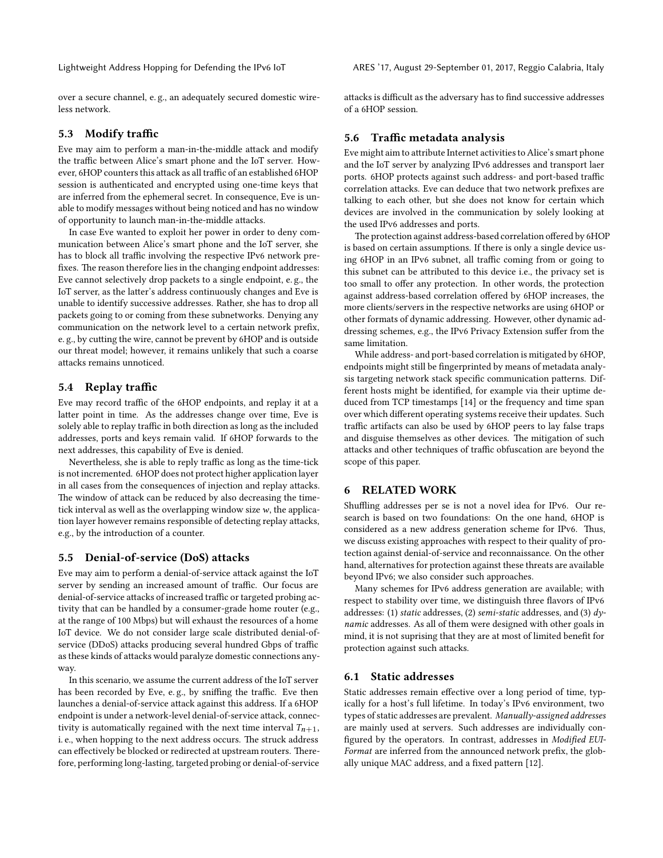over a secure channel, e. g., an adequately secured domestic wireless network.

# **5.3 Modify traffic**

Eve may aim to perform a man-in-the-middle attack and modify the traffic between Alice's smart phone and the IoT server. However, 6HOP counters this attack as all traffic of an established 6HOP session is authenticated and encrypted using one-time keys that are inferred from the ephemeral secret. In consequence, Eve is unable to modify messages without being noticed and has no window of opportunity to launch man-in-the-middle attacks.

In case Eve wanted to exploit her power in order to deny communication between Alice's smart phone and the IoT server, she has to block all traffic involving the respective IPv6 network prefixes. The reason therefore lies in the changing endpoint addresses: Eve cannot selectively drop packets to a single endpoint, e. g., the IoT server, as the latter's address continuously changes and Eve is unable to identify successive addresses. Rather, she has to drop all packets going to or coming from these subnetworks. Denying any communication on the network level to a certain network prefix, e. g., by cutting the wire, cannot be prevent by 6HOP and is outside our threat model; however, it remains unlikely that such a coarse attacks remains unnoticed.

# **5.4 Replay traffic**

Eve may record traffic of the 6HOP endpoints, and replay it at a latter point in time. As the addresses change over time, Eve is solely able to replay traffic in both direction as long as the included addresses, ports and keys remain valid. If 6HOP forwards to the next addresses, this capability of Eve is denied.

Nevertheless, she is able to reply traffic as long as the time-tick is not incremented. 6HOP does not protect higher application layer in all cases from the consequences of injection and replay attacks. The window of attack can be reduced by also decreasing the timetick interval as well as the overlapping window size*w*, the application layer however remains responsible of detecting replay attacks, e.g., by the introduction of a counter.

## **5.5 Denial-of-service (DoS) attacks**

Eve may aim to perform a denial-of-service attack against the IoT server by sending an increased amount of traffic. Our focus are denial-of-service attacks of increased traffic or targeted probing activity that can be handled by a consumer-grade home router (e.g., at the range of 100 Mbps) but will exhaust the resources of a home IoT device. We do not consider large scale distributed denial-ofservice (DDoS) attacks producing several hundred Gbps of traffic as these kinds of attacks would paralyze domestic connections anyway.

In this scenario, we assume the current address of the IoT server has been recorded by Eve, e. g., by sniffing the traffic. Eve then launches a denial-of-service attack against this address. If a 6HOP endpoint is under a network-level denial-of-service attack, connectivity is automatically regained with the next time interval  $T_{n+1}$ , i. e., when hopping to the next address occurs. The struck address can effectively be blocked or redirected at upstream routers. Therefore, performing long-lasting, targeted probing or denial-of-service

Lightweight Address Hopping for Defending the IPv6 IoT ARES '17, August 29-September 01, 2017, Reggio Calabria, Italy

attacks is difficult as the adversary has to find successive addresses of a 6HOP session.

# <span id="page-6-1"></span>**5.6 Traffic metadata analysis**

Eve might aim to attribute Internet activities to Alice's smart phone and the IoT server by analyzing IPv6 addresses and transport laer ports. 6HOP protects against such address- and port-based traffic correlation attacks. Eve can deduce that two network prefixes are talking to each other, but she does not know for certain which devices are involved in the communication by solely looking at the used IPv6 addresses and ports.

The protection against address-based correlation offered by 6HOP is based on certain assumptions. If there is only a single device using 6HOP in an IPv6 subnet, all traffic coming from or going to this subnet can be attributed to this device i.e., the privacy set is too small to offer any protection. In other words, the protection against address-based correlation offered by 6HOP increases, the more clients/servers in the respective networks are using 6HOP or other formats of dynamic addressing. However, other dynamic addressing schemes, e.g., the IPv6 Privacy Extension suffer from the same limitation.

While address- and port-based correlation is mitigated by 6HOP, endpoints might still be fingerprinted by means of metadata analysis targeting network stack specific communication patterns. Different hosts might be identified, for example via their uptime deduced from TCP timestamps [\[14\]](#page-9-9) or the frequency and time span over which different operating systems receive their updates. Such traffic artifacts can also be used by 6HOP peers to lay false traps and disguise themselves as other devices. The mitigation of such attacks and other techniques of traffic obfuscation are beyond the scope of this paper.

# <span id="page-6-0"></span>**6 RELATED WORK**

Shuffling addresses per se is not a novel idea for IPv6. Our research is based on two foundations: On the one hand, 6HOP is considered as a new address generation scheme for IPv6. Thus, we discuss existing approaches with respect to their quality of protection against denial-of-service and reconnaissance. On the other hand, alternatives for protection against these threats are available beyond IPv6; we also consider such approaches.

Many schemes for IPv6 address generation are available; with respect to stability over time, we distinguish three flavors of IPv6 addresses: (1) *static* addresses, (2) *semi-static* addresses, and (3) *dynamic* addresses. As all of them were designed with other goals in mind, it is not suprising that they are at most of limited benefit for protection against such attacks.

#### **6.1 Static addresses**

Static addresses remain effective over a long period of time, typically for a host's full lifetime. In today's IPv6 environment, two types of static addresses are prevalent. *Manually-assigned addresses* are mainly used at servers. Such addresses are individually configured by the operators. In contrast, addresses in *Modified EUI-Format* are inferred from the announced network prefix, the globally unique MAC address, and a fixed pattern[[12\]](#page-8-7).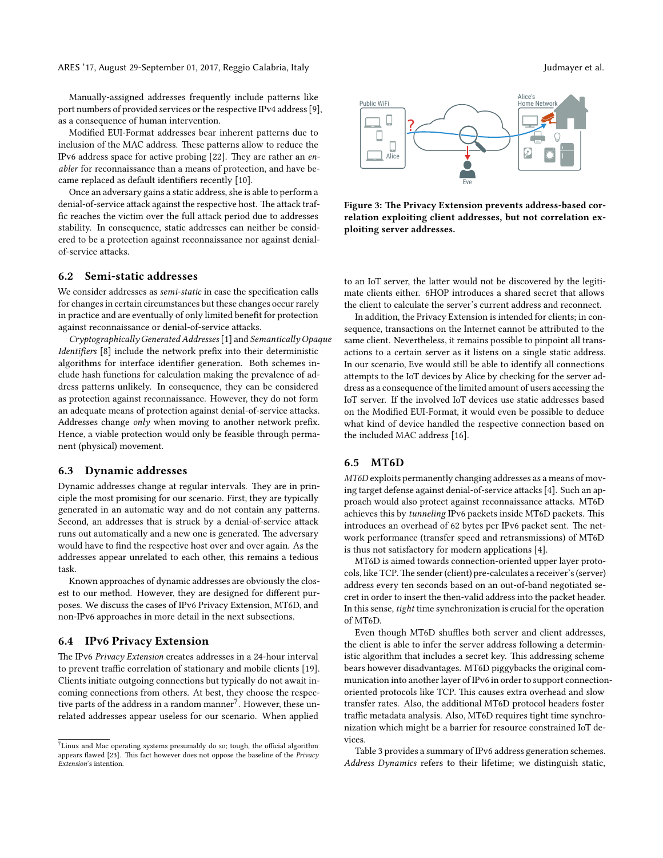Manually-assigned addresses frequently include patterns like port numbers of provided services or the respective IPv4 address [\[9\]](#page-8-8), as a consequence of human intervention.

Modified EUI-Format addresses bear inherent patterns due to inclusion of the MAC address. These patterns allow to reduce the IPv6 address space for active probing [\[22\]](#page-9-10). They are rather an *enabler* for reconnaissance than a means of protection, and have became replaced as default identifiers recently [\[10](#page-8-9)].

Once an adversary gains a static address, she is able to perform a denial-of-service attack against the respective host. The attack traffic reaches the victim over the full attack period due to addresses stability. In consequence, static addresses can neither be considered to be a protection against reconnaissance nor against denialof-service attacks.

## **6.2 Semi-static addresses**

We consider addresses as *semi-static* in case the specification calls for changes in certain circumstances but these changes occur rarely in practice and are eventually of only limited benefit for protection against reconnaissance or denial-of-service attacks.

*Cryptographically Generated Addresses* [\[1](#page-8-10)] and *Semantically Opaque Identifiers* [[8\]](#page-8-11) include the network prefix into their deterministic algorithms for interface identifier generation. Both schemes include hash functions for calculation making the prevalence of address patterns unlikely. In consequence, they can be considered as protection against reconnaissance. However, they do not form an adequate means of protection against denial-of-service attacks. Addresses change *only* when moving to another network prefix. Hence, a viable protection would only be feasible through permanent (physical) movement.

## **6.3 Dynamic addresses**

Dynamic addresses change at regular intervals. They are in principle the most promising for our scenario. First, they are typically generated in an automatic way and do not contain any patterns. Second, an addresses that is struck by a denial-of-service attack runs out automatically and a new one is generated. The adversary would have to find the respective host over and over again. As the addresses appear unrelated to each other, this remains a tedious task.

Known approaches of dynamic addresses are obviously the closest to our method. However, they are designed for different purposes. We discuss the cases of IPv6 Privacy Extension, MT6D, and non-IPv6 approaches in more detail in the next subsections.

#### **6.4 IPv6 Privacy Extension**

The IPv6 *Privacy Extension* creates addresses in a 24-hour interval to prevent traffic correlation of stationary and mobile clients[[19](#page-9-4)]. Clients initiate outgoing connections but typically do not await incoming connections from others. At best, they choose the respec-tive parts of the address in a random manner<sup>[7](#page-7-0)</sup>. However, these unrelated addresses appear useless for our scenario. When applied



**Figure 3: The Privacy Extension prevents address-based correlation exploiting client addresses, but not correlation exploiting server addresses.**

to an IoT server, the latter would not be discovered by the legitimate clients either. 6HOP introduces a shared secret that allows the client to calculate the server's current address and reconnect.

In addition, the Privacy Extension is intended for clients; in consequence, transactions on the Internet cannot be attributed to the same client. Nevertheless, it remains possible to pinpoint all transactions to a certain server as it listens on a single static address. In our scenario, Eve would still be able to identify all connections attempts to the IoT devices by Alice by checking for the server address as a consequence of the limited amount of users accessing the IoT server. If the involved IoT devices use static addresses based on the Modified EUI-Format, it would even be possible to deduce what kind of device handled the respective connection based on the included MAC address[[16](#page-9-2)].

# **6.5 MT6D**

*MT6D* exploits permanently changing addresses as a means of moving target defense against denial-of-service attacks[[4\]](#page-8-12). Such an approach would also protect against reconnaissance attacks. MT6D achieves this by *tunneling* IPv6 packets inside MT6D packets. This introduces an overhead of 62 bytes per IPv6 packet sent. The network performance (transfer speed and retransmissions) of MT6D is thus not satisfactory for modern applications[[4\]](#page-8-12).

MT6D is aimed towards connection-oriented upper layer protocols, like TCP.The sender (client) pre-calculates a receiver's (server) address every ten seconds based on an out-of-band negotiated secret in order to insert the then-valid address into the packet header. In this sense, *tight* time synchronization is crucial for the operation of MT6D.

Even though MT6D shuffles both server and client addresses, the client is able to infer the server address following a deterministic algorithm that includes a secret key. This addressing scheme bears however disadvantages. MT6D piggybacks the original communication into another layer of IPv6 in order to support connectionoriented protocols like TCP. This causes extra overhead and slow transfer rates. Also, the additional MT6D protocol headers foster traffic metadata analysis. Also, MT6D requires tight time synchronization which might be a barrier for resource constrained IoT devices.

Table [3](#page-8-13) provides a summary of IPv6 address generation schemes. *Address Dynamics* refers to their lifetime; we distinguish static,

<span id="page-7-0"></span> $7$ Linux and Mac operating systems presumably do so; tough, the official algorithm appears flawed [\[23\]](#page-9-6). This fact however does not oppose the baseline of the *Privacy Extension*'s intention.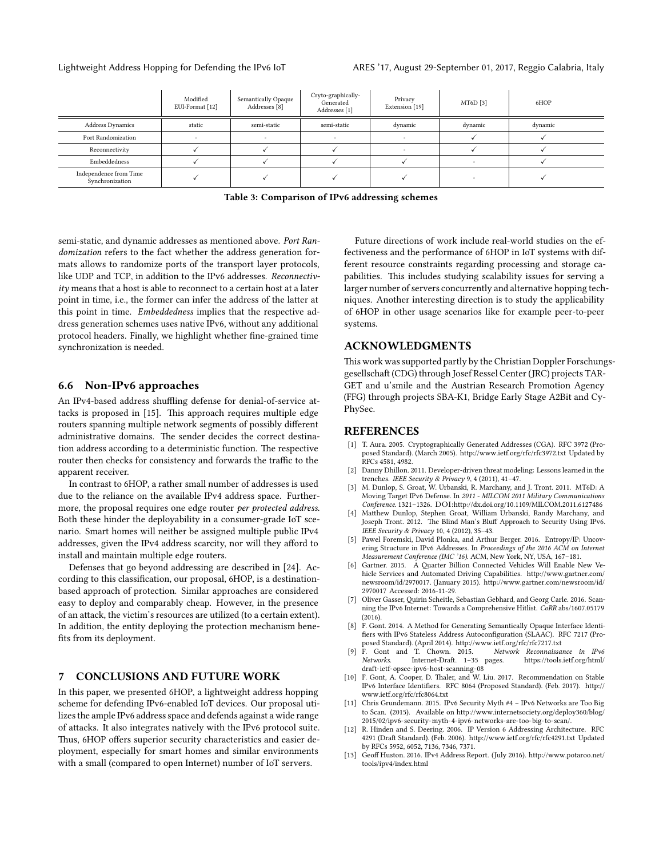<span id="page-8-13"></span>

|                                           | Modified<br>EUI-Format [12] | Semantically Opaque<br>Addresses [8] | Cryto-graphically-<br>Generated<br>Addresses [1] | Privacy<br>Extension [19] | MT6D [3] | 6HOP    |
|-------------------------------------------|-----------------------------|--------------------------------------|--------------------------------------------------|---------------------------|----------|---------|
| <b>Address Dynamics</b>                   | static                      | semi-static                          | semi-static                                      | dynamic                   | dynamic  | dynamic |
| Port Randomization                        |                             |                                      |                                                  | $\sim$                    |          |         |
| Reconnectivity                            |                             |                                      |                                                  |                           |          |         |
| Embeddedness                              |                             |                                      |                                                  |                           |          |         |
| Independence from Time<br>Synchronization |                             |                                      |                                                  |                           |          |         |

**Table 3: Comparison of IPv6 addressing schemes**

semi-static, and dynamic addresses as mentioned above. *Port Randomization* refers to the fact whether the address generation formats allows to randomize ports of the transport layer protocols, like UDP and TCP, in addition to the IPv6 addresses. *Reconnectivity* means that a host is able to reconnect to a certain host at a later point in time, i.e., the former can infer the address of the latter at this point in time. *Embeddedness* implies that the respective address generation schemes uses native IPv6, without any additional protocol headers. Finally, we highlight whether fine-grained time synchronization is needed.

## **6.6 Non-IPv6 approaches**

An IPv4-based address shuffling defense for denial-of-service attacks is proposed in [\[15\]](#page-9-11). This approach requires multiple edge routers spanning multiple network segments of possibly different administrative domains. The sender decides the correct destination address according to a deterministic function. The respective router then checks for consistency and forwards the traffic to the apparent receiver.

In contrast to 6HOP, a rather small number of addresses is used due to the reliance on the available IPv4 address space. Furthermore, the proposal requires one edge router *per protected address*. Both these hinder the deployability in a consumer-grade IoT scenario. Smart homes will neither be assigned multiple public IPv4 addresses, given the IPv4 address scarcity, nor will they afford to install and maintain multiple edge routers.

Defenses that go beyond addressing are described in[[24](#page-9-12)]. According to this classification, our proposal, 6HOP, is a destinationbased approach of protection. Similar approaches are considered easy to deploy and comparably cheap. However, in the presence of an attack, the victim's resources are utilized (to a certain extent). In addition, the entity deploying the protection mechanism benefits from its deployment.

# <span id="page-8-2"></span>**7 CONCLUSIONS AND FUTURE WORK**

In this paper, we presented 6HOP, a lightweight address hopping scheme for defending IPv6-enabled IoT devices. Our proposal utilizes the ample IPv6 address space and defends against a wide range of attacks. It also integrates natively with the IPv6 protocol suite. Thus, 6HOP offers superior security characteristics and easier deployment, especially for smart homes and similar environments with a small (compared to open Internet) number of IoT servers.

Future directions of work include real-world studies on the effectiveness and the performance of 6HOP in IoT systems with different resource constraints regarding processing and storage capabilities. This includes studying scalability issues for serving a larger number of servers concurrently and alternative hopping techniques. Another interesting direction is to study the applicability of 6HOP in other usage scenarios like for example peer-to-peer systems.

# **ACKNOWLEDGMENTS**

This work was supported partly by the Christian Doppler Forschungsgesellschaft (CDG) through Josef Ressel Center (JRC) projects TAR-GET and u'smile and the Austrian Research Promotion Agency (FFG) through projects SBA-K1, Bridge Early Stage A2Bit and Cy-PhySec.

## **REFERENCES**

- <span id="page-8-10"></span>[1] T. Aura. 2005. Cryptographically Generated Addresses (CGA). RFC 3972 (Proposed Standard). (March 2005). <http://www.ietf.org/rfc/rfc3972.txt> Updated by RFCs 4581, 4982.
- <span id="page-8-6"></span>[2] Danny Dhillon. 2011. Developer-driven threat modeling: Lessons learned in the trenches. *IEEE Security & Privacy* 9, 4 (2011), 41–47.
- <span id="page-8-14"></span>[3] M. Dunlop, S. Groat, W. Urbanski, R. Marchany, and J. Tront. 2011. MT6D: A Moving Target IPv6 Defense. In *2011 - MILCOM 2011 Military Communications Conference*. 1321–1326. DOI:<http://dx.doi.org/10.1109/MILCOM.2011.6127486>
- <span id="page-8-12"></span>[4] Matthew Dunlop, Stephen Groat, William Urbanski, Randy Marchany, and Joseph Tront. 2012. The Blind Man's Bluff Approach to Security Using IPv6. *IEEE Security & Privacy* 10, 4 (2012), 35–43.
- <span id="page-8-3"></span>[5] Pawel Foremski, David Plonka, and Arthur Berger. 2016. Entropy/IP: Uncovering Structure in IPv6 Addresses. In *Proceedings of the 2016 ACM on Internet Measurement Conference (IMC '16)*. ACM, New York, NY, USA, 167–181.
- <span id="page-8-0"></span>Gartner. 2015. A Quarter Billion Connected Vehicles Will Enable New Vehicle Services and Automated Driving Capabilities. [http://www.gartner.com/](http://www.gartner.com/newsroom/id/2970017) [newsroom/id/2970017.](http://www.gartner.com/newsroom/id/2970017) (January 2015). [http://www.gartner.com/newsroom/id/](http://www.gartner.com/newsroom/id/2970017) [2970017](http://www.gartner.com/newsroom/id/2970017) Accessed: 2016-11-29.
- <span id="page-8-4"></span>[7] Oliver Gasser, Quirin Scheitle, Sebastian Gebhard, and Georg Carle. 2016. Scanning the IPv6 Internet: Towards a Comprehensive Hitlist. *CoRR* abs/1607.05179  $(2016)$ .
- <span id="page-8-11"></span>[8] F. Gont. 2014. A Method for Generating Semantically Opaque Interface Identifiers with IPv6 Stateless Address Autoconfiguration (SLAAC). RFC 7217 (Proposed Standard). (April 2014). <http://www.ietf.org/rfc/rfc7217.txt>
- <span id="page-8-8"></span>[9] F. Gont and T. Chown. 2015. *Network Reconnaissance in IPv6 Networks*. Internet-Draft. 1–35 pages. [https://tools.ietf.org/html/](https://tools.ietf.org/html/draft-ietf-opsec-ipv6-host-scanning-08) [draft-ietf-opsec-ipv6-host-scanning-08](https://tools.ietf.org/html/draft-ietf-opsec-ipv6-host-scanning-08)
- <span id="page-8-9"></span>[10] F. Gont, A. Cooper, D. Thaler, and W. Liu. 2017. Recommendation on Stable IPv6 Interface Identifiers. RFC 8064 (Proposed Standard). (Feb. 2017). [http://](http://www.ietf.org/rfc/rfc8064.txt) [www.ietf.org/rfc/rfc8064.txt](http://www.ietf.org/rfc/rfc8064.txt)
- <span id="page-8-5"></span>[11] Chris Grundemann. 2015. IPv6 Security Myth #4 – IPv6 Networks are Too Big to Scan. (2015). Available on http://www.internetsociety.org/deploy360/blog, [2015/02/ipv6-security-myth-4-ipv6-networks-are-too-big-to-scan/.](http://www.internetsociety.org/deploy360/blog/2015/02/ipv6-security-myth-4-ipv6-networks-are-too-big-to-scan/)
- <span id="page-8-7"></span>[12] R. Hinden and S. Deering. 2006. IP Version 6 Addressing Architecture. RFC 4291 (Draft Standard). (Feb. 2006). <http://www.ietf.org/rfc/rfc4291.txt> Updated by RFCs 5952, 6052, 7136, 7346, 7371.
- <span id="page-8-1"></span>[13] Geoff Huston. 2016. IPv4 Address Report. (July 2016). [http://www.potaroo.net/](http://www.potaroo.net/tools/ipv4/index.html) [tools/ipv4/index.html](http://www.potaroo.net/tools/ipv4/index.html)